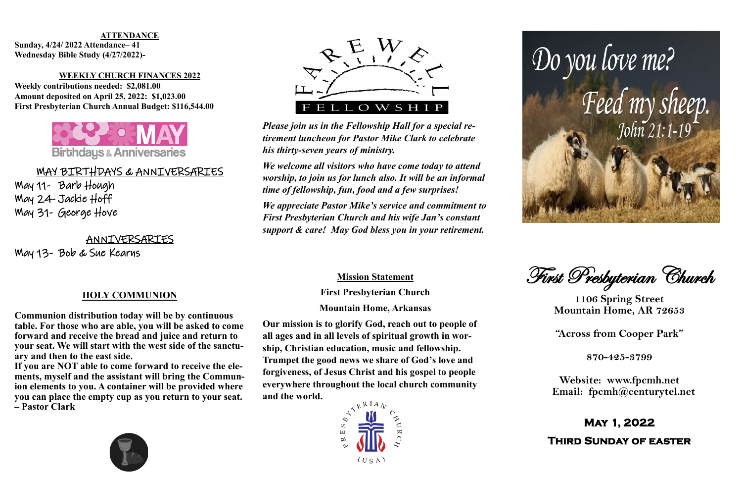CHILDREN'S MINISTRY **Sunday, 4/24/ 2022 Attendance– 41 Wednesday Bible Study (4/27/2022)**- $\mathbf{v}$  include the dolore et dolore magna aligund ut labore et dolore magna aliqua. Ut labore et dolore magna aliqua. Ut labore et dolore magna aliqua. Ut labore et dolore magna aliqua. Ut labore et dolore magna aliqua.

### enim ad minim veniam, quis nostrud exercitation ullamco **WEEKLY CHURCH FINANCES 2022**



## <u>MAY BIRTHDAYS & ANNIVERSARIES</u>

Weekly contributions needed: \$2,081.00 Amount deposited on April 25, 2022: \$1,023.00 **First Presbyterian Church Annual Budget: \$116,544.00**

 $\overline{\phantom{a}}$ laboris nisi ut aliquip ex ea commodo consequat. Duis aute irure May 11- Barb Hough  $2d$  tackie llaff May 24- Jackie Hoff May 31- George Hove

 $\sqrt{2}$  were seen the seen May 13- Bob & Sue Kearns

### **HOLY COMMUNION**

**Communion distribution today will be by continuous table. For those who are able, you will be asked to come forward and receive the bread and juice and return to your seat. We will start with the west side of the sanctuary and then to the east side.** 

If you are NOT able to come forward to receive the ele-<br>mants myself and the essistant will bring the Commun ments, myself and the assistant will bring the Communion elements to you. A container will be provided where you can place the empty cup as you return to your seat. laboris nisi ut aliquip ex ea commodo consequat. Duis aute irure **– Pastor Clark**









### **ATTENDANCE**

ANNIVERSARIES

First Presbyterian Church

**1106 Spring Street Mountain Home, AR 72653**

**"Across from Cooper Park"**

**870-425-3799**

**Website: www.fpcmh.net Email: fpcmh@centurytel.net**

# **May 1, 2022**

**Third Sunday of easter** 

*Please join us in the Fellowship Hall for a special retirement luncheon for Pastor Mike Clark to celebrate his thirty-seven years of ministry.* 

*We welcome all visitors who have come today to attend worship, to join us for lunch also. It will be an informal time of fellowship, fun, food and a few surprises!* 

*We appreciate Pastor Mike's service and commitment to First Presbyterian Church and his wife Jan's constant support & care! May God bless you in your retirement.*



### **Mission Statement**

**First Presbyterian Church Mountain Home, Arkansas**

**Our mission is to glorify God, reach out to people of all ages and in all levels of spiritual growth in worship, Christian education, music and fellowship. Trumpet the good news we share of God's love and forgiveness, of Jesus Christ and his gospel to people everywhere throughout the local church community and the world.**